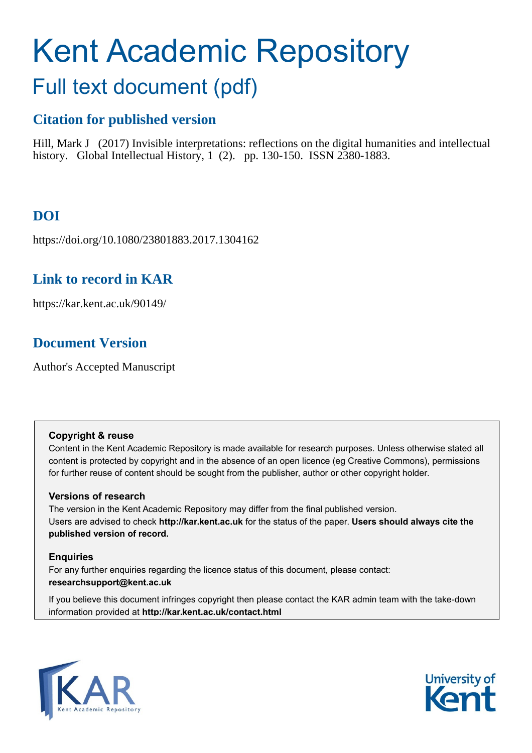# Kent Academic Repository Full text document (pdf)

## **Citation for published version**

Hill, Mark J (2017) Invisible interpretations: reflections on the digital humanities and intellectual history. Global Intellectual History, 1 (2). pp. 130-150. ISSN 2380-1883.

# **DOI**

https://doi.org/10.1080/23801883.2017.1304162

## **Link to record in KAR**

https://kar.kent.ac.uk/90149/

## **Document Version**

Author's Accepted Manuscript

#### **Copyright & reuse**

Content in the Kent Academic Repository is made available for research purposes. Unless otherwise stated all content is protected by copyright and in the absence of an open licence (eg Creative Commons), permissions for further reuse of content should be sought from the publisher, author or other copyright holder.

#### **Versions of research**

The version in the Kent Academic Repository may differ from the final published version. Users are advised to check **http://kar.kent.ac.uk** for the status of the paper. **Users should always cite the published version of record.**

#### **Enquiries**

For any further enquiries regarding the licence status of this document, please contact: **researchsupport@kent.ac.uk**

If you believe this document infringes copyright then please contact the KAR admin team with the take-down information provided at **http://kar.kent.ac.uk/contact.html**



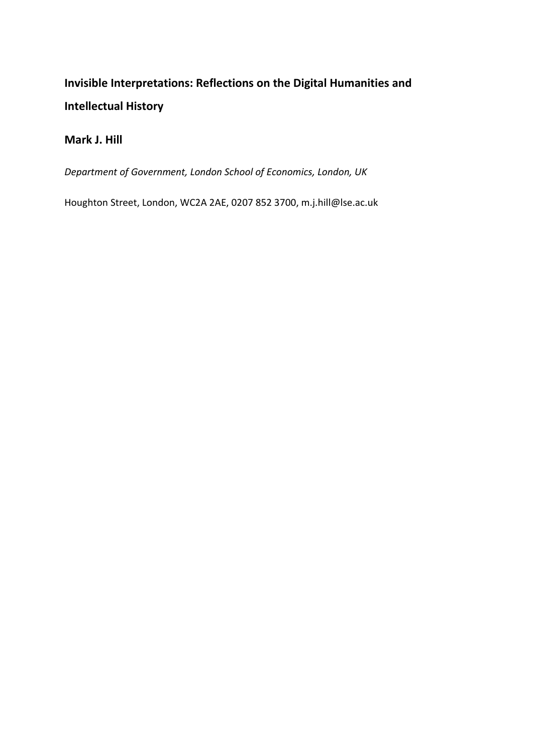# **Invisible Interpretations: Reflections on the Digital Humanities and Intellectual History**

#### **Mark J. Hill**

*Department of Government, London School of Economics, London, UK*

Houghton Street, London, WC2A 2AE, 0207 852 3700, m.j.hill@lse.ac.uk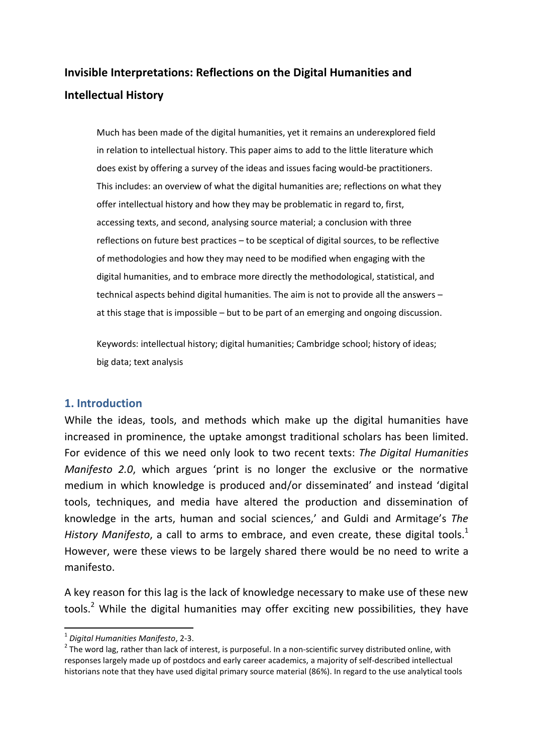# **Invisible Interpretations: Reflections on the Digital Humanities and Intellectual History**

Much has been made of the digital humanities, yet it remains an underexplored field in relation to intellectual history. This paper aims to add to the little literature which does exist by offering a survey of the ideas and issues facing would-be practitioners. This includes: an overview of what the digital humanities are; reflections on what they offer intellectual history and how they may be problematic in regard to, first, accessing texts, and second, analysing source material; a conclusion with three reflections on future best practices – to be sceptical of digital sources, to be reflective of methodologies and how they may need to be modified when engaging with the digital humanities, and to embrace more directly the methodological, statistical, and technical aspects behind digital humanities. The aim is not to provide all the answers – at this stage that is impossible – but to be part of an emerging and ongoing discussion.

Keywords: intellectual history; digital humanities; Cambridge school; history of ideas; big data; text analysis

#### **1. Introduction**

While the ideas, tools, and methods which make up the digital humanities have increased in prominence, the uptake amongst traditional scholars has been limited. For evidence of this we need only look to two recent texts: *The Digital Humanities Manifesto 2.0*, which argues 'print is no longer the exclusive or the normative medium in which knowledge is produced and/or disseminated' and instead 'digital tools, techniques, and media have altered the production and dissemination of knowledge in the arts, human and social sciences,' and Guldi and Armitage's *The*  History Manifesto, a call to arms to embrace, and even create, these digital tools.<sup>1</sup> However, were these views to be largely shared there would be no need to write a manifesto.

A key reason for this lag is the lack of knowledge necessary to make use of these new tools.<sup>2</sup> While the digital humanities may offer exciting new possibilities, they have

<sup>1</sup> *Digital Humanities Manifesto*, 2-3.

 $2$  The word lag, rather than lack of interest, is purposeful. In a non-scientific survey distributed online, with responses largely made up of postdocs and early career academics, a majority of self-described intellectual historians note that they have used digital primary source material (86%). In regard to the use analytical tools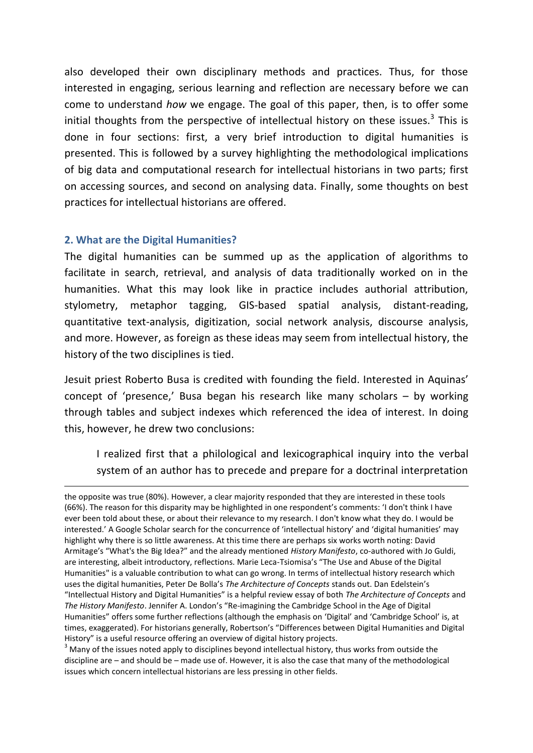also developed their own disciplinary methods and practices. Thus, for those interested in engaging, serious learning and reflection are necessary before we can come to understand *how* we engage. The goal of this paper, then, is to offer some initial thoughts from the perspective of intellectual history on these issues. $3$  This is done in four sections: first, a very brief introduction to digital humanities is presented. This is followed by a survey highlighting the methodological implications of big data and computational research for intellectual historians in two parts; first on accessing sources, and second on analysing data. Finally, some thoughts on best practices for intellectual historians are offered.

#### **2. What are the Digital Humanities?**

**.** 

The digital humanities can be summed up as the application of algorithms to facilitate in search, retrieval, and analysis of data traditionally worked on in the humanities. What this may look like in practice includes authorial attribution, stylometry, metaphor tagging, GIS-based spatial analysis, distant-reading, quantitative text-analysis, digitization, social network analysis, discourse analysis, and more. However, as foreign as these ideas may seem from intellectual history, the history of the two disciplines is tied.

Jesuit priest Roberto Busa is credited with founding the field. Interested in Aquinas' concept of 'presence,' Busa began his research like many scholars – by working through tables and subject indexes which referenced the idea of interest. In doing this, however, he drew two conclusions:

I realized first that a philological and lexicographical inquiry into the verbal system of an author has to precede and prepare for a doctrinal interpretation

 $3$  Many of the issues noted apply to disciplines beyond intellectual history, thus works from outside the discipline are – and should be – made use of. However, it is also the case that many of the methodological issues which concern intellectual historians are less pressing in other fields.

the opposite was true (80%). However, a clear majority responded that they are interested in these tools (66%). The reason for this disparity may be highlighted in one respondent's comments: 'I don't think I have ever been told about these, or about their relevance to my research. I don't know what they do. I would be interested.' A Google Scholar search for the concurrence of 'intellectual history' and 'digital humanities' may highlight why there is so little awareness. At this time there are perhaps six works worth noting: David Armitage's "What's the Big Idea?" and the already mentioned *History Manifesto*, co-authored with Jo Guldi, are interesting, albeit introductory, reflections. Marie Leca-Tsiomisa's "The Use and Abuse of the Digital Humanities" is a valuable contribution to what can go wrong. In terms of intellectual history research which uses the digital humanities, Peter De Bolla's *The Architecture of Concepts* stands out. Dan Edelstein's "Intellectual History and Digital Humanities" is a helpful review essay of both *The Architecture of Concepts* and *The History Manifesto*. Jennifer A. London's "Re-imagining the Cambridge School in the Age of Digital Humanities" offers some further reflections (although the emphasis on 'Digital' and 'Cambridge School' is, at times, exaggerated). For historians generally, Robertson's "Differences between Digital Humanities and Digital History" is a useful resource offering an overview of digital history projects.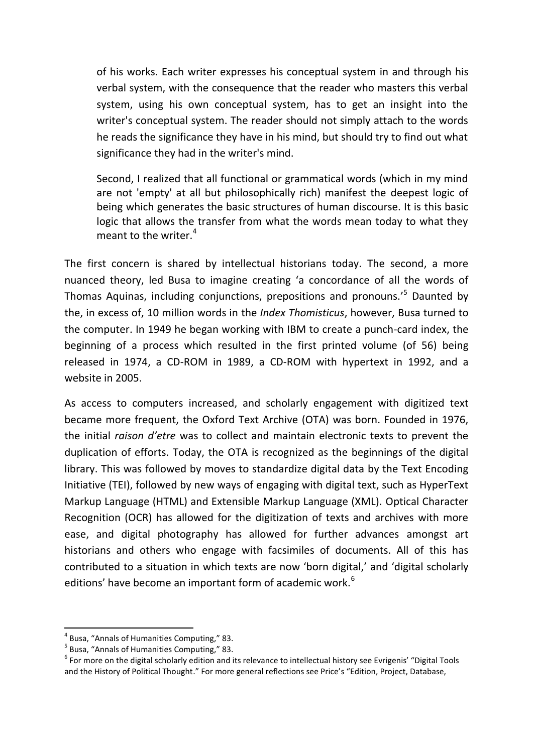of his works. Each writer expresses his conceptual system in and through his verbal system, with the consequence that the reader who masters this verbal system, using his own conceptual system, has to get an insight into the writer's conceptual system. The reader should not simply attach to the words he reads the significance they have in his mind, but should try to find out what significance they had in the writer's mind.

Second, I realized that all functional or grammatical words (which in my mind are not 'empty' at all but philosophically rich) manifest the deepest logic of being which generates the basic structures of human discourse. It is this basic logic that allows the transfer from what the words mean today to what they meant to the writer. $4$ 

The first concern is shared by intellectual historians today. The second, a more nuanced theory, led Busa to imagine creating 'a concordance of all the words of Thomas Aquinas, including conjunctions, prepositions and pronouns.' 5 Daunted by the, in excess of, 10 million words in the *Index Thomisticus*, however, Busa turned to the computer. In 1949 he began working with IBM to create a punch-card index, the beginning of a process which resulted in the first printed volume (of 56) being released in 1974, a CD-ROM in 1989, a CD-ROM with hypertext in 1992, and a website in 2005.

As access to computers increased, and scholarly engagement with digitized text became more frequent, the Oxford Text Archive (OTA) was born. Founded in 1976, the initial *raison d'etre* was to collect and maintain electronic texts to prevent the duplication of efforts. Today, the OTA is recognized as the beginnings of the digital library. This was followed by moves to standardize digital data by the Text Encoding Initiative (TEI), followed by new ways of engaging with digital text, such as HyperText Markup Language (HTML) and Extensible Markup Language (XML). Optical Character Recognition (OCR) has allowed for the digitization of texts and archives with more ease, and digital photography has allowed for further advances amongst art historians and others who engage with facsimiles of documents. All of this has contributed to a situation in which texts are now 'born digital,' and 'digital scholarly editions' have become an important form of academic work.<sup>6</sup>

<sup>4</sup> Busa, "Annals of Humanities Computing," 83.

<sup>&</sup>lt;sup>5</sup> Busa, "Annals of Humanities Computing," 83.

<sup>&</sup>lt;sup>6</sup> For more on the digital scholarly edition and its relevance to intellectual history see Evrigenis' "Digital Tools and the History of Political Thought." For more general reflections see Price's "Edition, Project, Database,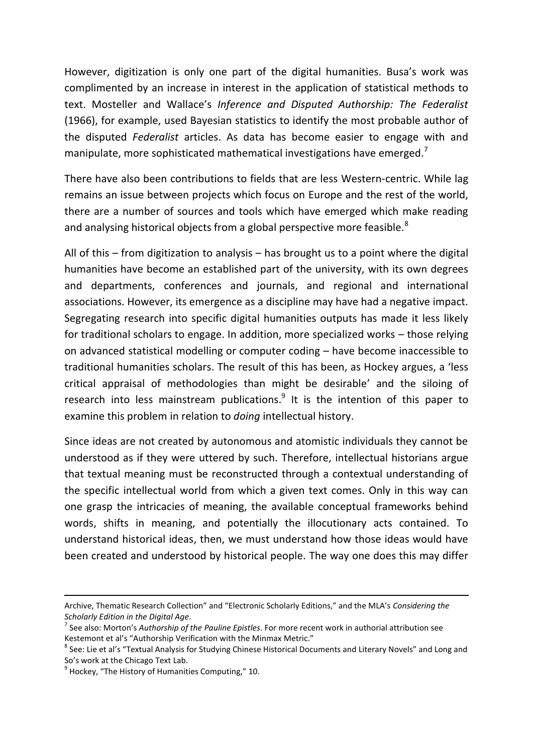However, digitization is only one part of the digital humanities. Busa's work was complimented by an increase in interest in the application of statistical methods to text. Mosteller and Wallace's *Inference and Disputed Authorship: The Federalist* (1966), for example, used Bayesian statistics to identify the most probable author of the disputed *Federalist* articles. As data has become easier to engage with and manipulate, more sophisticated mathematical investigations have emerged. $\prime$ 

There have also been contributions to fields that are less Western-centric. While lag remains an issue between projects which focus on Europe and the rest of the world, there are a number of sources and tools which have emerged which make reading and analysing historical objects from a global perspective more feasible. $8$ 

All of this – from digitization to analysis – has brought us to a point where the digital humanities have become an established part of the university, with its own degrees and departments, conferences and journals, and regional and international associations. However, its emergence as a discipline may have had a negative impact. Segregating research into specific digital humanities outputs has made it less likely for traditional scholars to engage. In addition, more specialized works – those relying on advanced statistical modelling or computer coding – have become inaccessible to traditional humanities scholars. The result of this has been, as Hockey argues, a 'less critical appraisal of methodologies than might be desirable' and the siloing of research into less mainstream publications.<sup>9</sup> It is the intention of this paper to examine this problem in relation to *doing* intellectual history.

Since ideas are not created by autonomous and atomistic individuals they cannot be understood as if they were uttered by such. Therefore, intellectual historians argue that textual meaning must be reconstructed through a contextual understanding of the specific intellectual world from which a given text comes. Only in this way can one grasp the intricacies of meaning, the available conceptual frameworks behind words, shifts in meaning, and potentially the illocutionary acts contained. To understand historical ideas, then, we must understand how those ideas would have been created and understood by historical people. The way one does this may differ

Archive, Thematic Research Collection" and "Electronic Scholarly Editions," and the MLA's *Considering the Scholarly Edition in the Digital Age*.

<sup>7</sup> See also: Morton's *Authorship of the Pauline Epistles*. For more recent work in authorial attribution see Kestemont et al's "Authorship Verification with the Minmax Metric."

<sup>&</sup>lt;sup>8</sup> See: Lie et al's "Textual Analysis for Studying Chinese Historical Documents and Literary Novels" and Long and So's work at the Chicago Text Lab.

 $<sup>9</sup>$  Hockey, "The History of Humanities Computing," 10.</sup>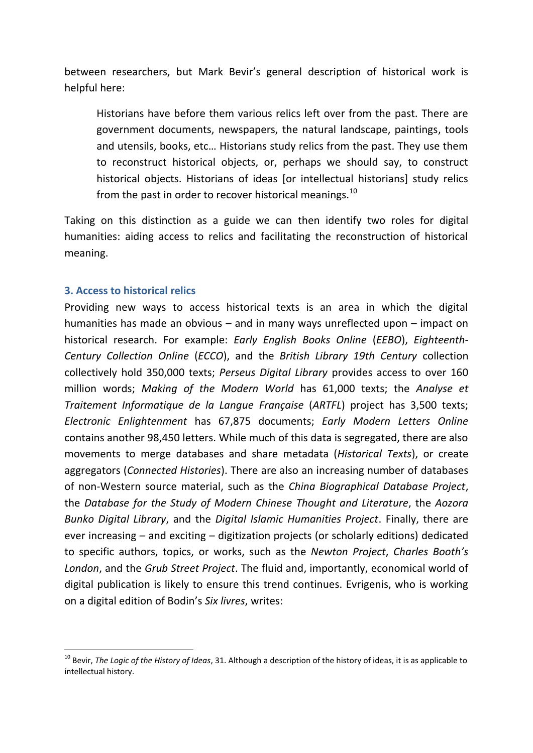between researchers, but Mark Bevir's general description of historical work is helpful here:

Historians have before them various relics left over from the past. There are government documents, newspapers, the natural landscape, paintings, tools and utensils, books, etc… Historians study relics from the past. They use them to reconstruct historical objects, or, perhaps we should say, to construct historical objects. Historians of ideas [or intellectual historians] study relics from the past in order to recover historical meanings. $^{10}$ 

Taking on this distinction as a guide we can then identify two roles for digital humanities: aiding access to relics and facilitating the reconstruction of historical meaning.

#### **3. Access to historical relics**

 $\overline{a}$ 

Providing new ways to access historical texts is an area in which the digital humanities has made an obvious – and in many ways unreflected upon – impact on historical research. For example: *Early English Books Online* (*EEBO*), *Eighteenth-Century Collection Online* (*ECCO*), and the *British Library 19th Century* collection collectively hold 350,000 texts; *Perseus Digital Library* provides access to over 160 million words; *Making of the Modern World* has 61,000 texts; the *Analyse et Traitement Informatique de la Langue Française* (*ARTFL*) project has 3,500 texts; *Electronic Enlightenment* has 67,875 documents; *Early Modern Letters Online* contains another 98,450 letters. While much of this data is segregated, there are also movements to merge databases and share metadata (*Historical Texts*), or create aggregators (*Connected Histories*). There are also an increasing number of databases of non-Western source material, such as the *China Biographical Database Project*, the *Database for the Study of Modern Chinese Thought and Literature*, the *Aozora Bunko Digital Library*, and the *Digital Islamic Humanities Project*. Finally, there are ever increasing – and exciting – digitization projects (or scholarly editions) dedicated to specific authors, topics, or works, such as the *Newton Project*, *Charles Booth's London*, and the *Grub Street Project*. The fluid and, importantly, economical world of digital publication is likely to ensure this trend continues. Evrigenis, who is working on a digital edition of Bodin's *Six livres*, writes:

<sup>10</sup> Bevir, *The Logic of the History of Ideas*, 31. Although a description of the history of ideas, it is as applicable to intellectual history.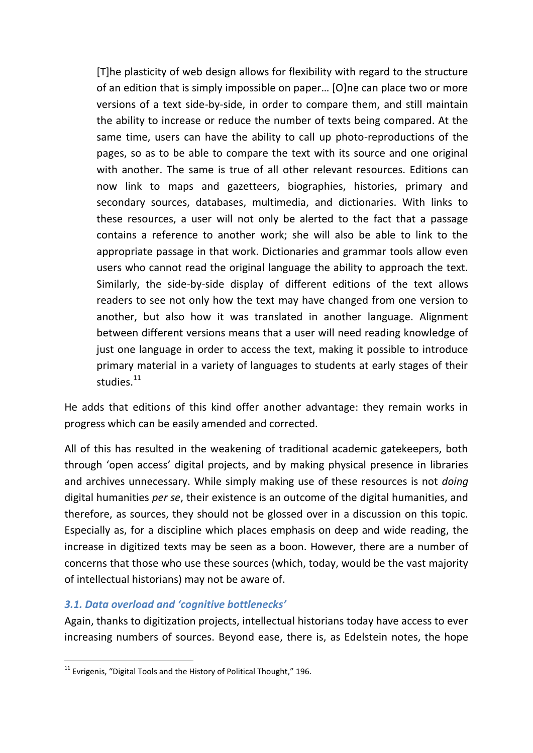[T]he plasticity of web design allows for flexibility with regard to the structure of an edition that is simply impossible on paper… [O]ne can place two or more versions of a text side-by-side, in order to compare them, and still maintain the ability to increase or reduce the number of texts being compared. At the same time, users can have the ability to call up photo-reproductions of the pages, so as to be able to compare the text with its source and one original with another. The same is true of all other relevant resources. Editions can now link to maps and gazetteers, biographies, histories, primary and secondary sources, databases, multimedia, and dictionaries. With links to these resources, a user will not only be alerted to the fact that a passage contains a reference to another work; she will also be able to link to the appropriate passage in that work. Dictionaries and grammar tools allow even users who cannot read the original language the ability to approach the text. Similarly, the side-by-side display of different editions of the text allows readers to see not only how the text may have changed from one version to another, but also how it was translated in another language. Alignment between different versions means that a user will need reading knowledge of just one language in order to access the text, making it possible to introduce primary material in a variety of languages to students at early stages of their studies. $11$ 

He adds that editions of this kind offer another advantage: they remain works in progress which can be easily amended and corrected.

All of this has resulted in the weakening of traditional academic gatekeepers, both through 'open access' digital projects, and by making physical presence in libraries and archives unnecessary. While simply making use of these resources is not *doing* digital humanities *per se*, their existence is an outcome of the digital humanities, and therefore, as sources, they should not be glossed over in a discussion on this topic. Especially as, for a discipline which places emphasis on deep and wide reading, the increase in digitized texts may be seen as a boon. However, there are a number of concerns that those who use these sources (which, today, would be the vast majority of intellectual historians) may not be aware of.

#### *3.1. Data overload and 'cognitive bottlenecks'*

**.** 

Again, thanks to digitization projects, intellectual historians today have access to ever increasing numbers of sources. Beyond ease, there is, as Edelstein notes, the hope

 $11$  Evrigenis, "Digital Tools and the History of Political Thought," 196.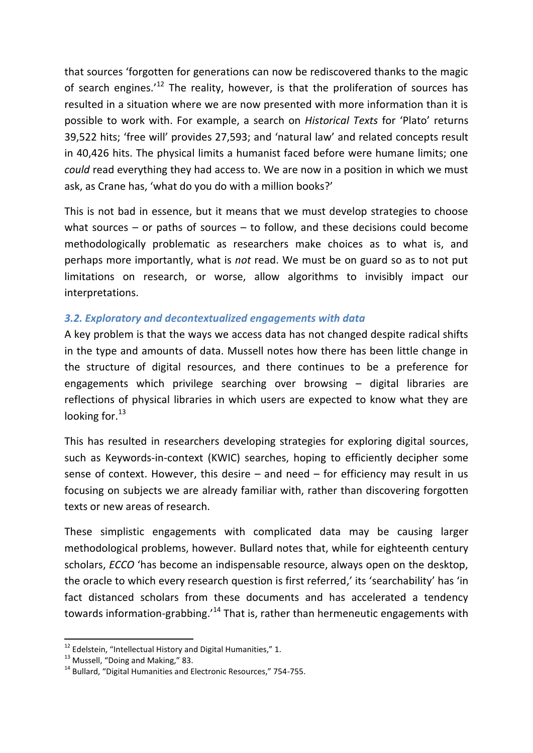that sources 'forgotten for generations can now be rediscovered thanks to the magic of search engines.<sup>'12</sup> The reality, however, is that the proliferation of sources has resulted in a situation where we are now presented with more information than it is possible to work with. For example, a search on *Historical Texts* for 'Plato' returns 39,522 hits; 'free will' provides 27,593; and 'natural law' and related concepts result in 40,426 hits. The physical limits a humanist faced before were humane limits; one *could* read everything they had access to. We are now in a position in which we must ask, as Crane has, 'what do you do with a million books?'

This is not bad in essence, but it means that we must develop strategies to choose what sources – or paths of sources – to follow, and these decisions could become methodologically problematic as researchers make choices as to what is, and perhaps more importantly, what is *not* read. We must be on guard so as to not put limitations on research, or worse, allow algorithms to invisibly impact our interpretations.

#### *3.2. Exploratory and decontextualized engagements with data*

A key problem is that the ways we access data has not changed despite radical shifts in the type and amounts of data. Mussell notes how there has been little change in the structure of digital resources, and there continues to be a preference for engagements which privilege searching over browsing – digital libraries are reflections of physical libraries in which users are expected to know what they are looking for. $^{13}$ 

This has resulted in researchers developing strategies for exploring digital sources, such as Keywords-in-context (KWIC) searches, hoping to efficiently decipher some sense of context. However, this desire  $-$  and need  $-$  for efficiency may result in us focusing on subjects we are already familiar with, rather than discovering forgotten texts or new areas of research.

These simplistic engagements with complicated data may be causing larger methodological problems, however. Bullard notes that, while for eighteenth century scholars, *ECCO* 'has become an indispensable resource, always open on the desktop, the oracle to which every research question is first referred,' its 'searchability' has 'in fact distanced scholars from these documents and has accelerated a tendency towards information-grabbing.'<sup>14</sup> That is, rather than hermeneutic engagements with

 $12$  Edelstein, "Intellectual History and Digital Humanities," 1.

<sup>&</sup>lt;sup>13</sup> Mussell, "Doing and Making," 83.

<sup>&</sup>lt;sup>14</sup> Bullard, "Digital Humanities and Electronic Resources," 754-755.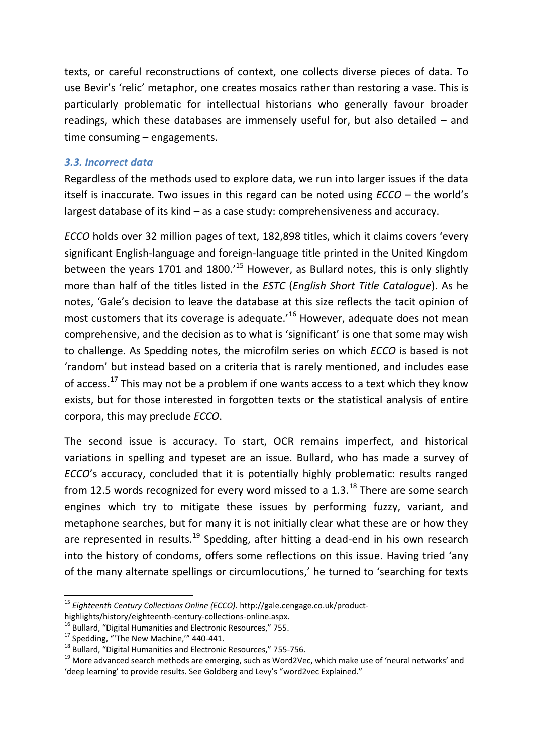texts, or careful reconstructions of context, one collects diverse pieces of data. To use Bevir's 'relic' metaphor, one creates mosaics rather than restoring a vase. This is particularly problematic for intellectual historians who generally favour broader readings, which these databases are immensely useful for, but also detailed – and time consuming – engagements.

#### *3.3. Incorrect data*

Regardless of the methods used to explore data, we run into larger issues if the data itself is inaccurate. Two issues in this regard can be noted using *ECCO* – the world's largest database of its kind – as a case study: comprehensiveness and accuracy.

*ECCO* holds over 32 million pages of text, 182,898 titles, which it claims covers 'every significant English-language and foreign-language title printed in the United Kingdom between the years 1701 and 1800. $15$  However, as Bullard notes, this is only slightly more than half of the titles listed in the *ESTC* (*English Short Title Catalogue*). As he notes, 'Gale's decision to leave the database at this size reflects the tacit opinion of most customers that its coverage is adequate.<sup>16</sup> However, adequate does not mean comprehensive, and the decision as to what is 'significant' is one that some may wish to challenge. As Spedding notes, the microfilm series on which *ECCO* is based is not 'random' but instead based on a criteria that is rarely mentioned, and includes ease of access.<sup>17</sup> This may not be a problem if one wants access to a text which they know exists, but for those interested in forgotten texts or the statistical analysis of entire corpora, this may preclude *ECCO*.

The second issue is accuracy. To start, OCR remains imperfect, and historical variations in spelling and typeset are an issue. Bullard, who has made a survey of *ECCO*'s accuracy, concluded that it is potentially highly problematic: results ranged from 12.5 words recognized for every word missed to a  $1.3.^{18}$  There are some search engines which try to mitigate these issues by performing fuzzy, variant, and metaphone searches, but for many it is not initially clear what these are or how they are represented in results.<sup>19</sup> Spedding, after hitting a dead-end in his own research into the history of condoms, offers some reflections on this issue. Having tried 'any of the many alternate spellings or circumlocutions,' he turned to 'searching for texts

<sup>15</sup> *Eighteenth Century Collections Online (ECCO)*. http://gale.cengage.co.uk/product-

highlights/history/eighteenth-century-collections-online.aspx.

<sup>&</sup>lt;sup>16</sup> Bullard, "Digital Humanities and Electronic Resources," 755.

<sup>&</sup>lt;sup>17</sup> Spedding, "The New Machine," 440-441.

<sup>&</sup>lt;sup>18</sup> Bullard, "Digital Humanities and Electronic Resources," 755-756.

<sup>&</sup>lt;sup>19</sup> More advanced search methods are emerging, such as Word2Vec, which make use of 'neural networks' and 'deep learning' to provide results. See Goldberg and Levy's "word2vec Explained."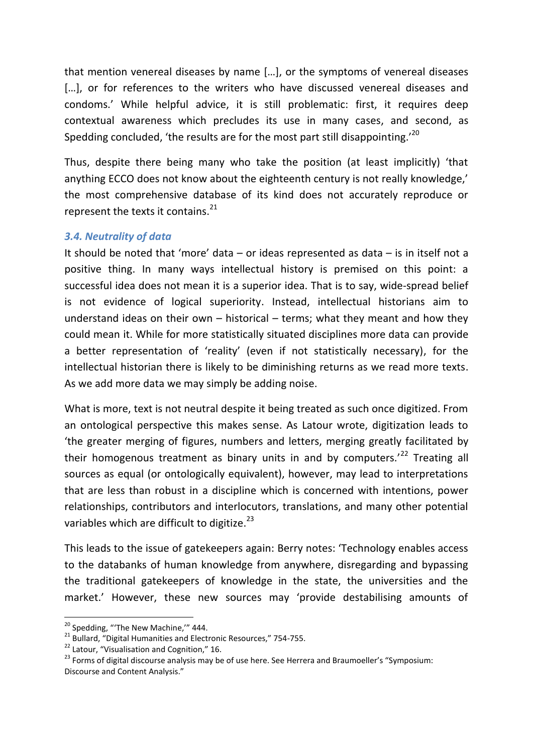that mention venereal diseases by name […], or the symptoms of venereal diseases [...], or for references to the writers who have discussed venereal diseases and condoms.' While helpful advice, it is still problematic: first, it requires deep contextual awareness which precludes its use in many cases, and second, as Spedding concluded, 'the results are for the most part still disappointing.'<sup>20</sup>

Thus, despite there being many who take the position (at least implicitly) 'that anything ECCO does not know about the eighteenth century is not really knowledge,' the most comprehensive database of its kind does not accurately reproduce or represent the texts it contains. $^{21}$ 

#### *3.4. Neutrality of data*

It should be noted that 'more' data – or ideas represented as data – is in itself not a positive thing. In many ways intellectual history is premised on this point: a successful idea does not mean it is a superior idea. That is to say, wide-spread belief is not evidence of logical superiority. Instead, intellectual historians aim to understand ideas on their own  $-$  historical  $-$  terms; what they meant and how they could mean it. While for more statistically situated disciplines more data can provide a better representation of 'reality' (even if not statistically necessary), for the intellectual historian there is likely to be diminishing returns as we read more texts. As we add more data we may simply be adding noise.

What is more, text is not neutral despite it being treated as such once digitized. From an ontological perspective this makes sense. As Latour wrote, digitization leads to 'the greater merging of figures, numbers and letters, merging greatly facilitated by their homogenous treatment as binary units in and by computers.<sup>'22</sup> Treating all sources as equal (or ontologically equivalent), however, may lead to interpretations that are less than robust in a discipline which is concerned with intentions, power relationships, contributors and interlocutors, translations, and many other potential variables which are difficult to digitize.<sup>23</sup>

This leads to the issue of gatekeepers again: Berry notes: 'Technology enables access to the databanks of human knowledge from anywhere, disregarding and bypassing the traditional gatekeepers of knowledge in the state, the universities and the market.' However, these new sources may 'provide destabilising amounts of

 $20$  Spedding, "The New Machine," 444.

<sup>&</sup>lt;sup>21</sup> Bullard, "Digital Humanities and Electronic Resources," 754-755.

<sup>&</sup>lt;sup>22</sup> Latour, "Visualisation and Cognition," 16.

<sup>&</sup>lt;sup>23</sup> Forms of digital discourse analysis may be of use here. See Herrera and Braumoeller's "Symposium: Discourse and Content Analysis."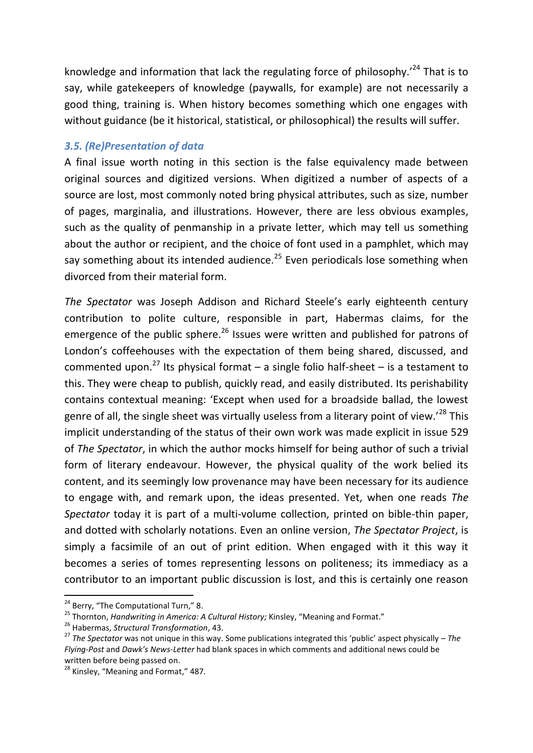knowledge and information that lack the regulating force of philosophy.<sup> $24$ </sup> That is to say, while gatekeepers of knowledge (paywalls, for example) are not necessarily a good thing, training is. When history becomes something which one engages with without guidance (be it historical, statistical, or philosophical) the results will suffer.

#### *3.5. (Re)Presentation of data*

A final issue worth noting in this section is the false equivalency made between original sources and digitized versions. When digitized a number of aspects of a source are lost, most commonly noted bring physical attributes, such as size, number of pages, marginalia, and illustrations. However, there are less obvious examples, such as the quality of penmanship in a private letter, which may tell us something about the author or recipient, and the choice of font used in a pamphlet, which may say something about its intended audience.<sup>25</sup> Even periodicals lose something when divorced from their material form.

*The Spectator* was Joseph Addison and Richard Steele's early eighteenth century contribution to polite culture, responsible in part, Habermas claims, for the emergence of the public sphere.<sup>26</sup> Issues were written and published for patrons of London's coffeehouses with the expectation of them being shared, discussed, and commented upon.<sup>27</sup> Its physical format – a single folio half-sheet – is a testament to this. They were cheap to publish, quickly read, and easily distributed. Its perishability contains contextual meaning: 'Except when used for a broadside ballad, the lowest genre of all, the single sheet was virtually useless from a literary point of view.<sup>'28</sup> This implicit understanding of the status of their own work was made explicit in issue 529 of *The Spectator*, in which the author mocks himself for being author of such a trivial form of literary endeavour. However, the physical quality of the work belied its content, and its seemingly low provenance may have been necessary for its audience to engage with, and remark upon, the ideas presented. Yet, when one reads *The Spectator* today it is part of a multi-volume collection, printed on bible-thin paper, and dotted with scholarly notations. Even an online version, *The Spectator Project*, is simply a facsimile of an out of print edition. When engaged with it this way it becomes a series of tomes representing lessons on politeness; its immediacy as a contributor to an important public discussion is lost, and this is certainly one reason

 $24$  Berry, "The Computational Turn," 8.

<sup>25</sup> Thornton, *Handwriting in America: A Cultural History;* Kinsley, "Meaning and Format."

<sup>26</sup> Habermas, *Structural Transformation*, 43.

<sup>27</sup> *The Spectator* was not unique in this way. Some publications integrated this 'public' aspect physically – *The Flying-Post* and *Dawk's News-Letter* had blank spaces in which comments and additional news could be written before being passed on.

<sup>&</sup>lt;sup>28</sup> Kinsley, "Meaning and Format," 487.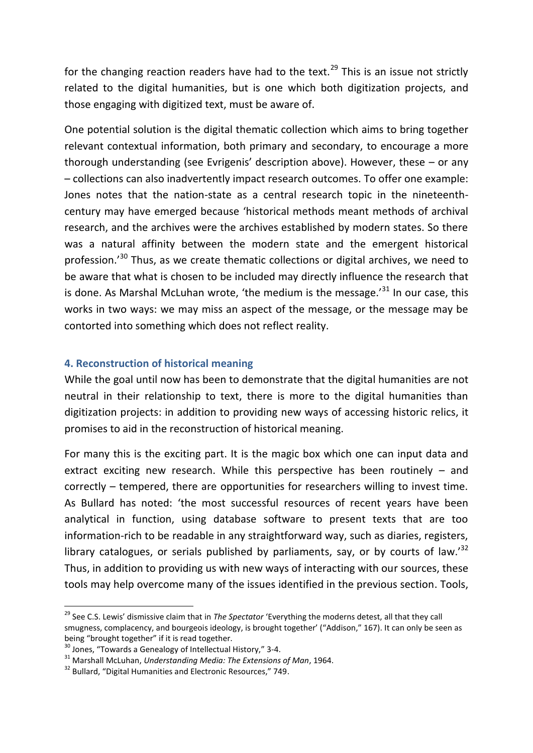for the changing reaction readers have had to the text.<sup>29</sup> This is an issue not strictly related to the digital humanities, but is one which both digitization projects, and those engaging with digitized text, must be aware of.

One potential solution is the digital thematic collection which aims to bring together relevant contextual information, both primary and secondary, to encourage a more thorough understanding (see Evrigenis' description above). However, these – or any – collections can also inadvertently impact research outcomes. To offer one example: Jones notes that the nation-state as a central research topic in the nineteenthcentury may have emerged because 'historical methods meant methods of archival research, and the archives were the archives established by modern states. So there was a natural affinity between the modern state and the emergent historical profession.'<sup>30</sup> Thus, as we create thematic collections or digital archives, we need to be aware that what is chosen to be included may directly influence the research that is done. As Marshal McLuhan wrote, 'the medium is the message.' $^{31}$  In our case, this works in two ways: we may miss an aspect of the message, or the message may be contorted into something which does not reflect reality.

#### **4. Reconstruction of historical meaning**

While the goal until now has been to demonstrate that the digital humanities are not neutral in their relationship to text, there is more to the digital humanities than digitization projects: in addition to providing new ways of accessing historic relics, it promises to aid in the reconstruction of historical meaning.

For many this is the exciting part. It is the magic box which one can input data and extract exciting new research. While this perspective has been routinely – and correctly – tempered, there are opportunities for researchers willing to invest time. As Bullard has noted: 'the most successful resources of recent years have been analytical in function, using database software to present texts that are too information-rich to be readable in any straightforward way, such as diaries, registers, library catalogues, or serials published by parliaments, say, or by courts of law.<sup>32</sup> Thus, in addition to providing us with new ways of interacting with our sources, these tools may help overcome many of the issues identified in the previous section. Tools,

<sup>29</sup> See C.S. Lewis' dismissive claim that in *The Spectator* 'Everything the moderns detest, all that they call smugness, complacency, and bourgeois ideology, is brought together' ("Addison," 167). It can only be seen as being "brought together" if it is read together.

 $30$  Jones, "Towards a Genealogy of Intellectual History," 3-4.

<sup>31</sup> Marshall McLuhan, *Understanding Media: The Extensions of Man*, 1964.

<sup>&</sup>lt;sup>32</sup> Bullard, "Digital Humanities and Electronic Resources," 749.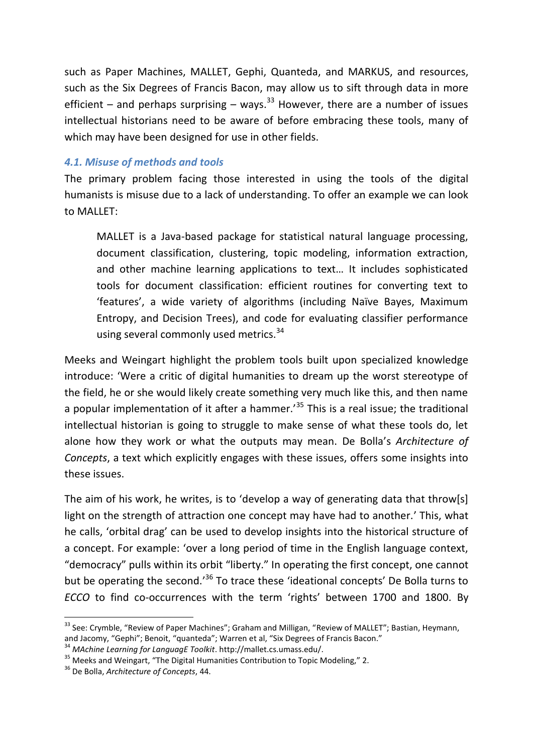such as Paper Machines, MALLET, Gephi, Quanteda, and MARKUS, and resources, such as the Six Degrees of Francis Bacon, may allow us to sift through data in more efficient – and perhaps surprising – ways.<sup>33</sup> However, there are a number of issues intellectual historians need to be aware of before embracing these tools, many of which may have been designed for use in other fields.

#### *4.1. Misuse of methods and tools*

The primary problem facing those interested in using the tools of the digital humanists is misuse due to a lack of understanding. To offer an example we can look to MALLET:

MALLET is a Java-based package for statistical natural language processing, document classification, clustering, topic modeling, information extraction, and other machine learning applications to text… It includes sophisticated tools for document classification: efficient routines for converting text to 'features', a wide variety of algorithms (including Naïve Bayes, Maximum Entropy, and Decision Trees), and code for evaluating classifier performance using several commonly used metrics.<sup>34</sup>

Meeks and Weingart highlight the problem tools built upon specialized knowledge introduce: 'Were a critic of digital humanities to dream up the worst stereotype of the field, he or she would likely create something very much like this, and then name a popular implementation of it after a hammer.<sup>35</sup> This is a real issue; the traditional intellectual historian is going to struggle to make sense of what these tools do, let alone how they work or what the outputs may mean. De Bolla's *Architecture of Concepts*, a text which explicitly engages with these issues, offers some insights into these issues.

The aim of his work, he writes, is to 'develop a way of generating data that throw[s] light on the strength of attraction one concept may have had to another.' This, what he calls, 'orbital drag' can be used to develop insights into the historical structure of a concept. For example: 'over a long period of time in the English language context, "democracy" pulls within its orbit "liberty." In operating the first concept, one cannot but be operating the second.<sup>,36</sup> To trace these 'ideational concepts' De Bolla turns to *ECCO* to find co-occurrences with the term 'rights' between 1700 and 1800. By

<sup>&</sup>lt;sup>33</sup> See: Crymble, "Review of Paper Machines"; Graham and Milligan, "Review of MALLET"; Bastian, Heymann, and Jacomy, "Gephi"; Benoit, "quanteda"; Warren et al, "Six Degrees of Francis Bacon."

<sup>34</sup> *MAchine Learning for LanguagE Toolkit*. http://mallet.cs.umass.edu/.

<sup>&</sup>lt;sup>35</sup> Meeks and Weingart, "The Digital Humanities Contribution to Topic Modeling," 2.

<sup>36</sup> De Bolla, *Architecture of Concepts*, 44.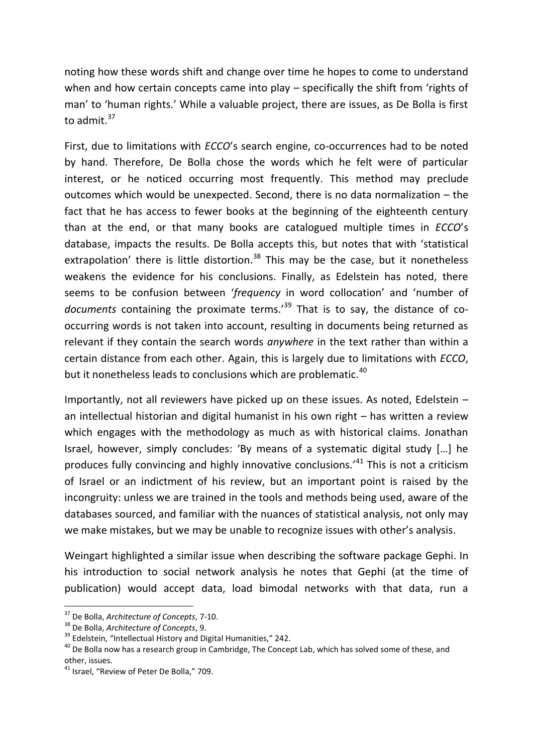noting how these words shift and change over time he hopes to come to understand when and how certain concepts came into play – specifically the shift from 'rights of man' to 'human rights.' While a valuable project, there are issues, as De Bolla is first to admit.<sup>37</sup>

First, due to limitations with *ECCO*'s search engine, co-occurrences had to be noted by hand. Therefore, De Bolla chose the words which he felt were of particular interest, or he noticed occurring most frequently. This method may preclude outcomes which would be unexpected. Second, there is no data normalization – the fact that he has access to fewer books at the beginning of the eighteenth century than at the end, or that many books are catalogued multiple times in *ECCO*'s database, impacts the results. De Bolla accepts this, but notes that with 'statistical extrapolation' there is little distortion.<sup>38</sup> This may be the case, but it nonetheless weakens the evidence for his conclusions. Finally, as Edelstein has noted, there seems to be confusion between '*frequency* in word collocation' and 'number of *documents* containing the proximate terms.' <sup>39</sup> That is to say, the distance of cooccurring words is not taken into account, resulting in documents being returned as relevant if they contain the search words *anywhere* in the text rather than within a certain distance from each other. Again, this is largely due to limitations with *ECCO*, but it nonetheless leads to conclusions which are problematic.<sup>40</sup>

Importantly, not all reviewers have picked up on these issues. As noted, Edelstein – an intellectual historian and digital humanist in his own right – has written a review which engages with the methodology as much as with historical claims. Jonathan Israel, however, simply concludes: 'By means of a systematic digital study […] he produces fully convincing and highly innovative conclusions.'<sup>41</sup> This is not a criticism of Israel or an indictment of his review, but an important point is raised by the incongruity: unless we are trained in the tools and methods being used, aware of the databases sourced, and familiar with the nuances of statistical analysis, not only may we make mistakes, but we may be unable to recognize issues with other's analysis.

Weingart highlighted a similar issue when describing the software package Gephi. In his introduction to social network analysis he notes that Gephi (at the time of publication) would accept data, load bimodal networks with that data, run a

<sup>37</sup> De Bolla, *Architecture of Concepts*, 7-10.

<sup>38</sup> De Bolla, *Architecture of Concepts*, 9.

<sup>&</sup>lt;sup>39</sup> Edelstein, "Intellectual History and Digital Humanities," 242.

<sup>&</sup>lt;sup>40</sup> De Bolla now has a research group in Cambridge, The Concept Lab, which has solved some of these, and other, issues.

<sup>&</sup>lt;sup>41</sup> Israel, "Review of Peter De Bolla," 709.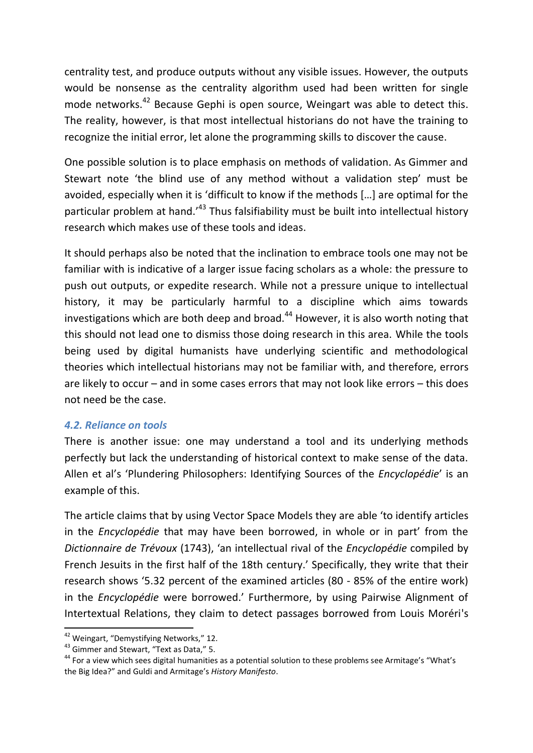centrality test, and produce outputs without any visible issues. However, the outputs would be nonsense as the centrality algorithm used had been written for single mode networks.<sup>42</sup> Because Gephi is open source, Weingart was able to detect this. The reality, however, is that most intellectual historians do not have the training to recognize the initial error, let alone the programming skills to discover the cause.

One possible solution is to place emphasis on methods of validation. As Gimmer and Stewart note 'the blind use of any method without a validation step' must be avoided, especially when it is 'difficult to know if the methods […] are optimal for the particular problem at hand.<sup>143</sup> Thus falsifiability must be built into intellectual history research which makes use of these tools and ideas.

It should perhaps also be noted that the inclination to embrace tools one may not be familiar with is indicative of a larger issue facing scholars as a whole: the pressure to push out outputs, or expedite research. While not a pressure unique to intellectual history, it may be particularly harmful to a discipline which aims towards investigations which are both deep and broad. $44$  However, it is also worth noting that this should not lead one to dismiss those doing research in this area. While the tools being used by digital humanists have underlying scientific and methodological theories which intellectual historians may not be familiar with, and therefore, errors are likely to occur – and in some cases errors that may not look like errors – this does not need be the case.

#### *4.2. Reliance on tools*

There is another issue: one may understand a tool and its underlying methods perfectly but lack the understanding of historical context to make sense of the data. Allen et al's 'Plundering Philosophers: Identifying Sources of the *Encyclopédie*' is an example of this.

The article claims that by using Vector Space Models they are able 'to identify articles in the *Encyclopédie* that may have been borrowed, in whole or in part' from the *Dictionnaire de Trévoux* (1743), 'an intellectual rival of the *Encyclopédie* compiled by French Jesuits in the first half of the 18th century.' Specifically, they write that their research shows '5.32 percent of the examined articles (80 - 85% of the entire work) in the *Encyclopédie* were borrowed.' Furthermore, by using Pairwise Alignment of Intertextual Relations, they claim to detect passages borrowed from Louis Moréri's

<sup>42</sup> Weingart, "Demystifying Networks," 12.

<sup>43</sup> Gimmer and Stewart, "Text as Data," 5.

<sup>&</sup>lt;sup>44</sup> For a view which sees digital humanities as a potential solution to these problems see Armitage's "What's the Big Idea?" and Guldi and Armitage's *History Manifesto*.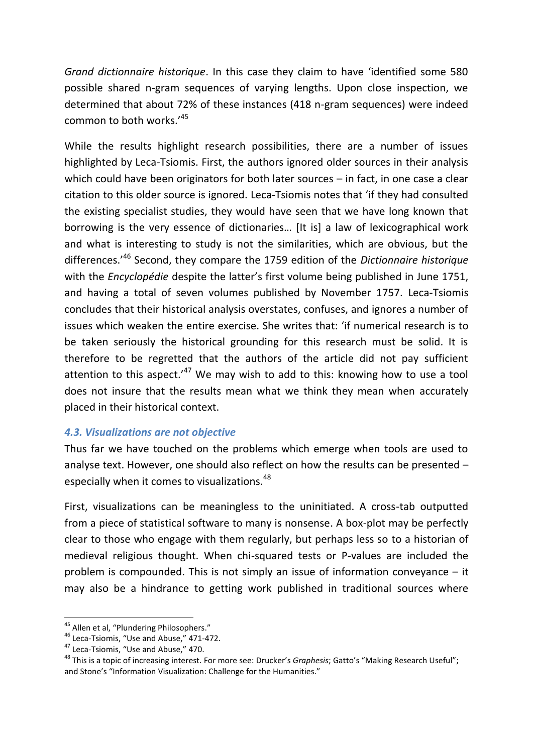*Grand dictionnaire historique*. In this case they claim to have 'identified some 580 possible shared n-gram sequences of varying lengths. Upon close inspection, we determined that about 72% of these instances (418 n-gram sequences) were indeed common to both works.'<sup>45</sup>

While the results highlight research possibilities, there are a number of issues highlighted by Leca-Tsiomis. First, the authors ignored older sources in their analysis which could have been originators for both later sources – in fact, in one case a clear citation to this older source is ignored. Leca-Tsiomis notes that 'if they had consulted the existing specialist studies, they would have seen that we have long known that borrowing is the very essence of dictionaries… [It is] a law of lexicographical work and what is interesting to study is not the similarities, which are obvious, but the differences.'<sup>46</sup> Second, they compare the 1759 edition of the *Dictionnaire historique* with the *Encyclopédie* despite the latter's first volume being published in June 1751, and having a total of seven volumes published by November 1757. Leca-Tsiomis concludes that their historical analysis overstates, confuses, and ignores a number of issues which weaken the entire exercise. She writes that: 'if numerical research is to be taken seriously the historical grounding for this research must be solid. It is therefore to be regretted that the authors of the article did not pay sufficient attention to this aspect.<sup> $47$ </sup> We may wish to add to this: knowing how to use a tool does not insure that the results mean what we think they mean when accurately placed in their historical context.

#### *4.3. Visualizations are not objective*

Thus far we have touched on the problems which emerge when tools are used to analyse text. However, one should also reflect on how the results can be presented – especially when it comes to visualizations.<sup>48</sup>

First, visualizations can be meaningless to the uninitiated. A cross-tab outputted from a piece of statistical software to many is nonsense. A box-plot may be perfectly clear to those who engage with them regularly, but perhaps less so to a historian of medieval religious thought. When chi-squared tests or P-values are included the problem is compounded. This is not simply an issue of information conveyance – it may also be a hindrance to getting work published in traditional sources where

<sup>&</sup>lt;sup>45</sup> Allen et al. "Plundering Philosophers."

<sup>46</sup> Leca-Tsiomis, "Use and Abuse," 471-472.

<sup>&</sup>lt;sup>47</sup> Leca-Tsiomis, "Use and Abuse," 470.

<sup>48</sup> This is a topic of increasing interest. For more see: Drucker's *Graphesis*; Gatto's "Making Research Useful"; and Stone's "Information Visualization: Challenge for the Humanities."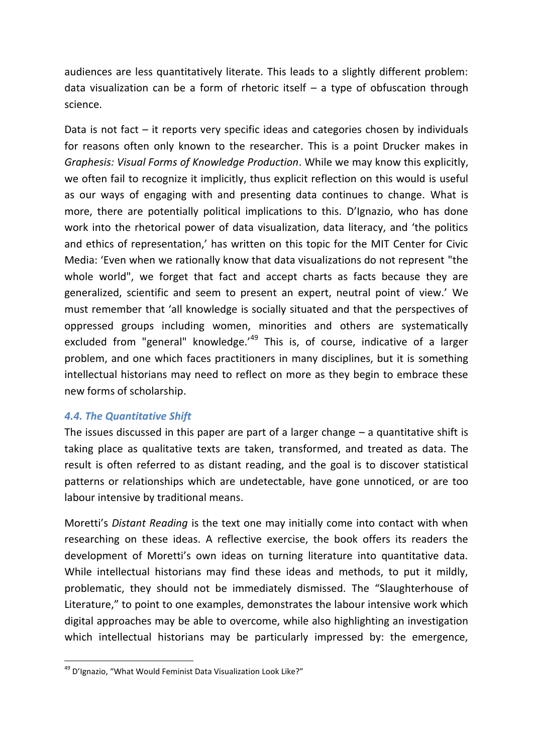audiences are less quantitatively literate. This leads to a slightly different problem: data visualization can be a form of rhetoric itself  $-$  a type of obfuscation through science.

Data is not fact  $-$  it reports very specific ideas and categories chosen by individuals for reasons often only known to the researcher. This is a point Drucker makes in *Graphesis: Visual Forms of Knowledge Production*. While we may know this explicitly, we often fail to recognize it implicitly, thus explicit reflection on this would is useful as our ways of engaging with and presenting data continues to change. What is more, there are potentially political implications to this. D'Ignazio, who has done work into the rhetorical power of data visualization, data literacy, and 'the politics and ethics of representation,' has written on this topic for the MIT Center for Civic Media: 'Even when we rationally know that data visualizations do not represent "the whole world", we forget that fact and accept charts as facts because they are generalized, scientific and seem to present an expert, neutral point of view.' We must remember that 'all knowledge is socially situated and that the perspectives of oppressed groups including women, minorities and others are systematically excluded from "general" knowledge. $149$  This is, of course, indicative of a larger problem, and one which faces practitioners in many disciplines, but it is something intellectual historians may need to reflect on more as they begin to embrace these new forms of scholarship.

#### *4.4. The Quantitative Shift*

The issues discussed in this paper are part of a larger change  $-$  a quantitative shift is taking place as qualitative texts are taken, transformed, and treated as data. The result is often referred to as distant reading, and the goal is to discover statistical patterns or relationships which are undetectable, have gone unnoticed, or are too labour intensive by traditional means.

Moretti's *Distant Reading* is the text one may initially come into contact with when researching on these ideas. A reflective exercise, the book offers its readers the development of Moretti's own ideas on turning literature into quantitative data. While intellectual historians may find these ideas and methods, to put it mildly, problematic, they should not be immediately dismissed. The "Slaughterhouse of Literature," to point to one examples, demonstrates the labour intensive work which digital approaches may be able to overcome, while also highlighting an investigation which intellectual historians may be particularly impressed by: the emergence,

**<sup>.</sup>** <sup>49</sup> D'Ignazio, "What Would Feminist Data Visualization Look Like?"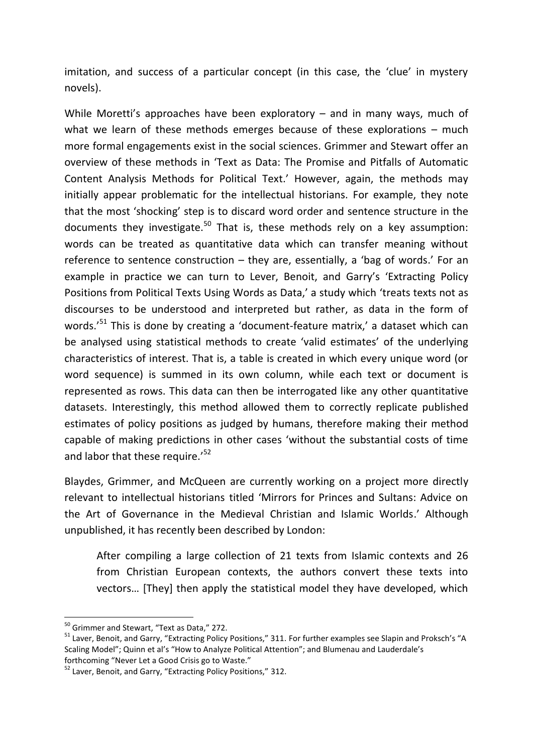imitation, and success of a particular concept (in this case, the 'clue' in mystery novels).

While Moretti's approaches have been exploratory – and in many ways, much of what we learn of these methods emerges because of these explorations – much more formal engagements exist in the social sciences. Grimmer and Stewart offer an overview of these methods in 'Text as Data: The Promise and Pitfalls of Automatic Content Analysis Methods for Political Text.' However, again, the methods may initially appear problematic for the intellectual historians. For example, they note that the most 'shocking' step is to discard word order and sentence structure in the documents they investigate.<sup>50</sup> That is, these methods rely on a key assumption: words can be treated as quantitative data which can transfer meaning without reference to sentence construction – they are, essentially, a 'bag of words.' For an example in practice we can turn to Lever, Benoit, and Garry's 'Extracting Policy Positions from Political Texts Using Words as Data,' a study which 'treats texts not as discourses to be understood and interpreted but rather, as data in the form of words.'<sup>51</sup> This is done by creating a 'document-feature matrix,' a dataset which can be analysed using statistical methods to create 'valid estimates' of the underlying characteristics of interest. That is, a table is created in which every unique word (or word sequence) is summed in its own column, while each text or document is represented as rows. This data can then be interrogated like any other quantitative datasets. Interestingly, this method allowed them to correctly replicate published estimates of policy positions as judged by humans, therefore making their method capable of making predictions in other cases 'without the substantial costs of time and labor that these require.'<sup>52</sup>

Blaydes, Grimmer, and McQueen are currently working on a project more directly relevant to intellectual historians titled 'Mirrors for Princes and Sultans: Advice on the Art of Governance in the Medieval Christian and Islamic Worlds.' Although unpublished, it has recently been described by London:

After compiling a large collection of 21 texts from Islamic contexts and 26 from Christian European contexts, the authors convert these texts into vectors… [They] then apply the statistical model they have developed, which

<sup>&</sup>lt;sup>50</sup> Grimmer and Stewart, "Text as Data," 272.

<sup>&</sup>lt;sup>51</sup> Laver, Benoit, and Garry, "Extracting Policy Positions," 311. For further examples see Slapin and Proksch's "A Scaling Model"; Quinn et al's "How to Analyze Political Attention"; and Blumenau and Lauderdale's forthcoming "Never Let a Good Crisis go to Waste."

<sup>52</sup> Laver, Benoit, and Garry, "Extracting Policy Positions," 312.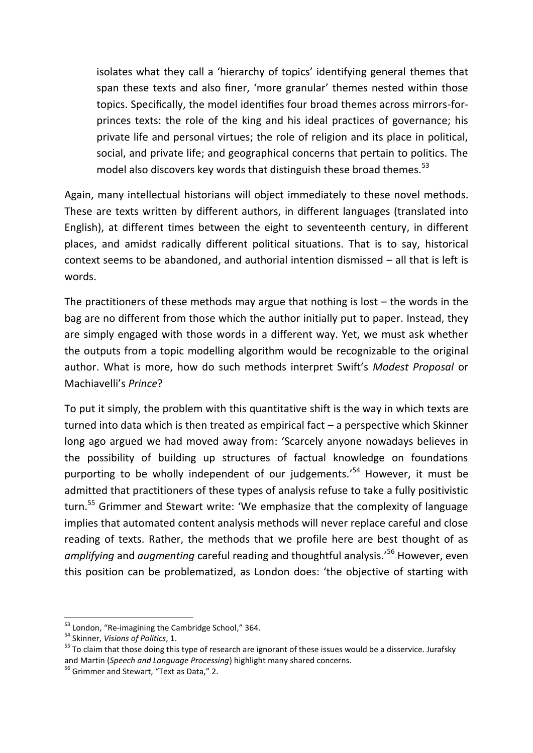isolates what they call a 'hierarchy of topics' identifying general themes that span these texts and also finer, 'more granular' themes nested within those topics. Specifically, the model identifies four broad themes across mirrors-forprinces texts: the role of the king and his ideal practices of governance; his private life and personal virtues; the role of religion and its place in political, social, and private life; and geographical concerns that pertain to politics. The model also discovers key words that distinguish these broad themes.<sup>53</sup>

Again, many intellectual historians will object immediately to these novel methods. These are texts written by different authors, in different languages (translated into English), at different times between the eight to seventeenth century, in different places, and amidst radically different political situations. That is to say, historical context seems to be abandoned, and authorial intention dismissed – all that is left is words.

The practitioners of these methods may argue that nothing is lost  $-$  the words in the bag are no different from those which the author initially put to paper. Instead, they are simply engaged with those words in a different way. Yet, we must ask whether the outputs from a topic modelling algorithm would be recognizable to the original author. What is more, how do such methods interpret Swift's *Modest Proposal* or Machiavelli's *Prince*?

To put it simply, the problem with this quantitative shift is the way in which texts are turned into data which is then treated as empirical fact – a perspective which Skinner long ago argued we had moved away from: 'Scarcely anyone nowadays believes in the possibility of building up structures of factual knowledge on foundations purporting to be wholly independent of our judgements.'<sup>54</sup> However, it must be admitted that practitioners of these types of analysis refuse to take a fully positivistic turn.<sup>55</sup> Grimmer and Stewart write: 'We emphasize that the complexity of language implies that automated content analysis methods will never replace careful and close reading of texts. Rather, the methods that we profile here are best thought of as *amplifying* and *augmenting* careful reading and thoughtful analysis.'<sup>56</sup> However, even this position can be problematized, as London does: 'the objective of starting with

**<sup>.</sup>** <sup>53</sup> London, "Re-imagining the Cambridge School," 364.

<sup>54</sup> Skinner, *Visions of Politics*, 1.

<sup>&</sup>lt;sup>55</sup> To claim that those doing this type of research are ignorant of these issues would be a disservice. Jurafsky and Martin (*Speech and Language Processing*) highlight many shared concerns.

<sup>&</sup>lt;sup>56</sup> Grimmer and Stewart, "Text as Data," 2.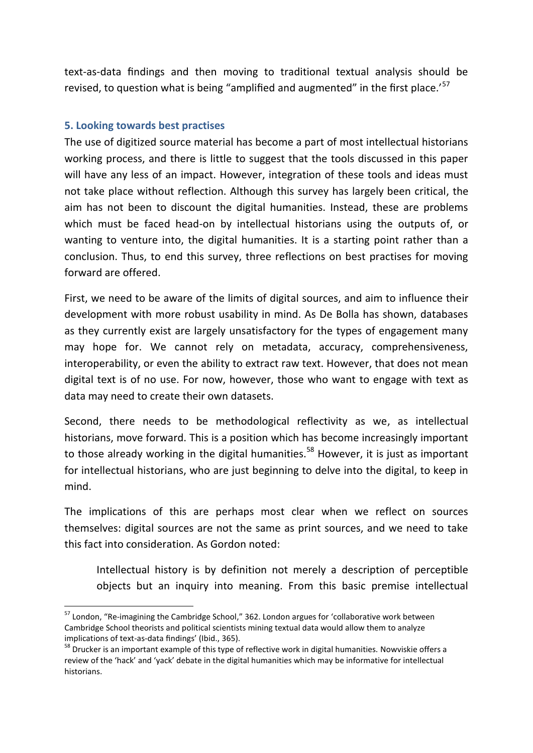text-as-data findings and then moving to traditional textual analysis should be revised, to question what is being "amplified and augmented" in the first place.'<sup>57</sup>

#### **5. Looking towards best practises**

1

The use of digitized source material has become a part of most intellectual historians working process, and there is little to suggest that the tools discussed in this paper will have any less of an impact. However, integration of these tools and ideas must not take place without reflection. Although this survey has largely been critical, the aim has not been to discount the digital humanities. Instead, these are problems which must be faced head-on by intellectual historians using the outputs of, or wanting to venture into, the digital humanities. It is a starting point rather than a conclusion. Thus, to end this survey, three reflections on best practises for moving forward are offered.

First, we need to be aware of the limits of digital sources, and aim to influence their development with more robust usability in mind. As De Bolla has shown, databases as they currently exist are largely unsatisfactory for the types of engagement many may hope for. We cannot rely on metadata, accuracy, comprehensiveness, interoperability, or even the ability to extract raw text. However, that does not mean digital text is of no use. For now, however, those who want to engage with text as data may need to create their own datasets.

Second, there needs to be methodological reflectivity as we, as intellectual historians, move forward. This is a position which has become increasingly important to those already working in the digital humanities.<sup>58</sup> However, it is just as important for intellectual historians, who are just beginning to delve into the digital, to keep in mind.

The implications of this are perhaps most clear when we reflect on sources themselves: digital sources are not the same as print sources, and we need to take this fact into consideration. As Gordon noted:

Intellectual history is by definition not merely a description of perceptible objects but an inquiry into meaning. From this basic premise intellectual

<sup>&</sup>lt;sup>57</sup> London, "Re-imagining the Cambridge School," 362. London argues for 'collaborative work between Cambridge School theorists and political scientists mining textual data would allow them to analyze implications of text-as-data findings' (Ibid., 365).

<sup>&</sup>lt;sup>58</sup> Drucker is an important example of this type of reflective work in digital humanities. Nowviskie offers a review of the 'hack' and 'yack' debate in the digital humanities which may be informative for intellectual historians.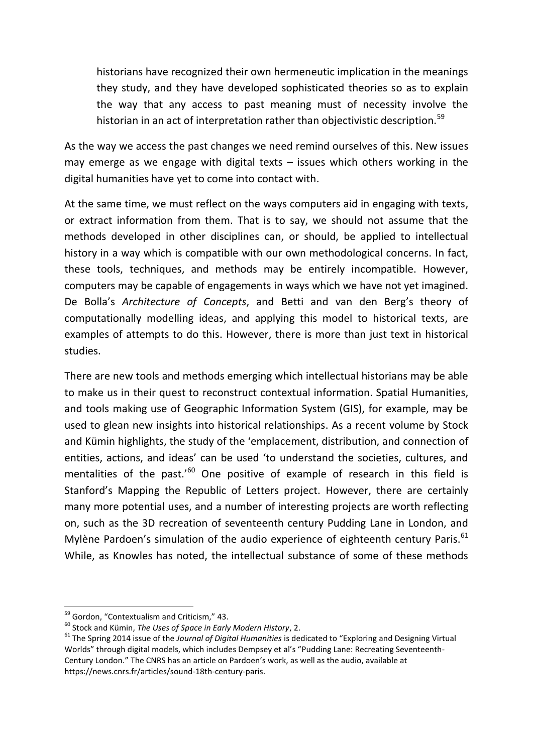historians have recognized their own hermeneutic implication in the meanings they study, and they have developed sophisticated theories so as to explain the way that any access to past meaning must of necessity involve the historian in an act of interpretation rather than objectivistic description.<sup>59</sup>

As the way we access the past changes we need remind ourselves of this. New issues may emerge as we engage with digital texts – issues which others working in the digital humanities have yet to come into contact with.

At the same time, we must reflect on the ways computers aid in engaging with texts, or extract information from them. That is to say, we should not assume that the methods developed in other disciplines can, or should, be applied to intellectual history in a way which is compatible with our own methodological concerns. In fact, these tools, techniques, and methods may be entirely incompatible. However, computers may be capable of engagements in ways which we have not yet imagined. De Bolla's *Architecture of Concepts*, and Betti and van den Berg's theory of computationally modelling ideas, and applying this model to historical texts, are examples of attempts to do this. However, there is more than just text in historical studies.

There are new tools and methods emerging which intellectual historians may be able to make us in their quest to reconstruct contextual information. Spatial Humanities, and tools making use of Geographic Information System (GIS), for example, may be used to glean new insights into historical relationships. As a recent volume by Stock and Kümin highlights, the study of the 'emplacement, distribution, and connection of entities, actions, and ideas' can be used 'to understand the societies, cultures, and mentalities of the past.<sup>'60</sup> One positive of example of research in this field is Stanford's Mapping the Republic of Letters project. However, there are certainly many more potential uses, and a number of interesting projects are worth reflecting on, such as the 3D recreation of seventeenth century Pudding Lane in London, and Mylène Pardoen's simulation of the audio experience of eighteenth century Paris.<sup>61</sup> While, as Knowles has noted, the intellectual substance of some of these methods

<sup>&</sup>lt;sup>59</sup> Gordon, "Contextualism and Criticism," 43.

<sup>60</sup> Stock and Kümin, *The Uses of Space in Early Modern History*, 2.

<sup>61</sup> The Spring 2014 issue of the *Journal of Digital Humanities* is dedicated to "Exploring and Designing Virtual Worlds" through digital models, which includes Dempsey et al's "Pudding Lane: Recreating Seventeenth-Century London." The CNRS has an article on Pardoen's work, as well as the audio, available at https://news.cnrs.fr/articles/sound-18th-century-paris.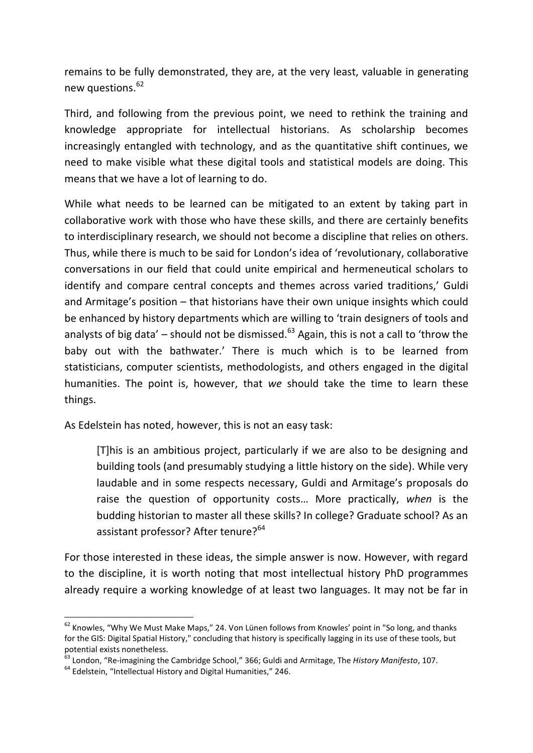remains to be fully demonstrated, they are, at the very least, valuable in generating new questions. $62$ 

Third, and following from the previous point, we need to rethink the training and knowledge appropriate for intellectual historians. As scholarship becomes increasingly entangled with technology, and as the quantitative shift continues, we need to make visible what these digital tools and statistical models are doing. This means that we have a lot of learning to do.

While what needs to be learned can be mitigated to an extent by taking part in collaborative work with those who have these skills, and there are certainly benefits to interdisciplinary research, we should not become a discipline that relies on others. Thus, while there is much to be said for London's idea of 'revolutionary, collaborative conversations in our field that could unite empirical and hermeneutical scholars to identify and compare central concepts and themes across varied traditions,' Guldi and Armitage's position – that historians have their own unique insights which could be enhanced by history departments which are willing to 'train designers of tools and analysts of big data' – should not be dismissed.<sup>63</sup> Again, this is not a call to 'throw the baby out with the bathwater.' There is much which is to be learned from statisticians, computer scientists, methodologists, and others engaged in the digital humanities. The point is, however, that *we* should take the time to learn these things.

As Edelstein has noted, however, this is not an easy task:

[T]his is an ambitious project, particularly if we are also to be designing and building tools (and presumably studying a little history on the side). While very laudable and in some respects necessary, Guldi and Armitage's proposals do raise the question of opportunity costs… More practically, *when* is the budding historian to master all these skills? In college? Graduate school? As an assistant professor? After tenure?<sup>64</sup>

For those interested in these ideas, the simple answer is now. However, with regard to the discipline, it is worth noting that most intellectual history PhD programmes already require a working knowledge of at least two languages. It may not be far in

 $62$  Knowles, "Why We Must Make Maps," 24. Von Lünen follows from Knowles' point in "So long, and thanks for the GIS: Digital Spatial History," concluding that history is specifically lagging in its use of these tools, but potential exists nonetheless.

<sup>63</sup> London, "Re-imagining the Cambridge School," 366; Guldi and Armitage, The *History Manifesto*, 107.

 $64$  Edelstein, "Intellectual History and Digital Humanities," 246.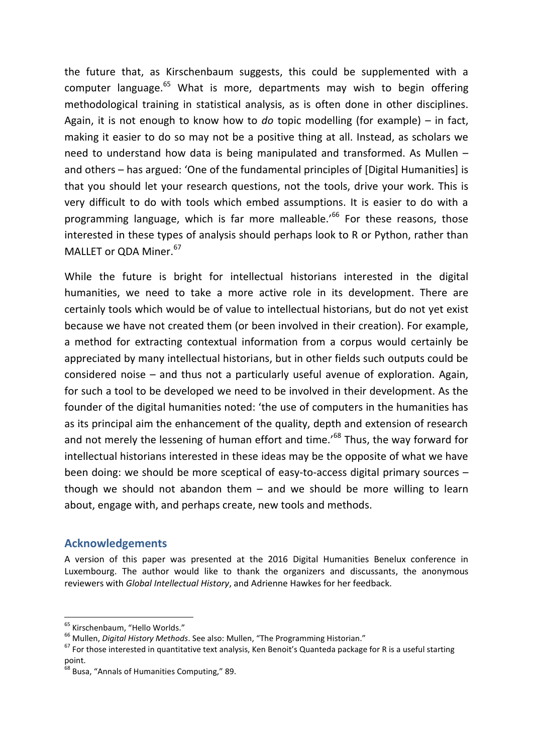the future that, as Kirschenbaum suggests, this could be supplemented with a computer language. $65$  What is more, departments may wish to begin offering methodological training in statistical analysis, as is often done in other disciplines. Again, it is not enough to know how to *do* topic modelling (for example) – in fact, making it easier to do so may not be a positive thing at all. Instead, as scholars we need to understand how data is being manipulated and transformed. As Mullen – and others – has argued: 'One of the fundamental principles of [Digital Humanities] is that you should let your research questions, not the tools, drive your work. This is very difficult to do with tools which embed assumptions. It is easier to do with a programming language, which is far more malleable.<sup>'66</sup> For these reasons. those interested in these types of analysis should perhaps look to R or Python, rather than MALLET or  $ODA$  Miner.  $67$ 

While the future is bright for intellectual historians interested in the digital humanities, we need to take a more active role in its development. There are certainly tools which would be of value to intellectual historians, but do not yet exist because we have not created them (or been involved in their creation). For example, a method for extracting contextual information from a corpus would certainly be appreciated by many intellectual historians, but in other fields such outputs could be considered noise – and thus not a particularly useful avenue of exploration. Again, for such a tool to be developed we need to be involved in their development. As the founder of the digital humanities noted: 'the use of computers in the humanities has as its principal aim the enhancement of the quality, depth and extension of research and not merely the lessening of human effort and time.<sup>'68</sup> Thus, the way forward for intellectual historians interested in these ideas may be the opposite of what we have been doing: we should be more sceptical of easy-to-access digital primary sources – though we should not abandon them – and we should be more willing to learn about, engage with, and perhaps create, new tools and methods.

#### **Acknowledgements**

A version of this paper was presented at the 2016 Digital Humanities Benelux conference in Luxembourg. The author would like to thank the organizers and discussants, the anonymous reviewers with *Global Intellectual History*, and Adrienne Hawkes for her feedback.

<sup>&</sup>lt;sup>65</sup> Kirschenbaum, "Hello Worlds."

<sup>66</sup> Mullen, *Digital History Methods*. See also: Mullen, "The Programming Historian."

 $67$  For those interested in quantitative text analysis, Ken Benoit's Quanteda package for R is a useful starting point.

<sup>68</sup> Busa, "Annals of Humanities Computing," 89.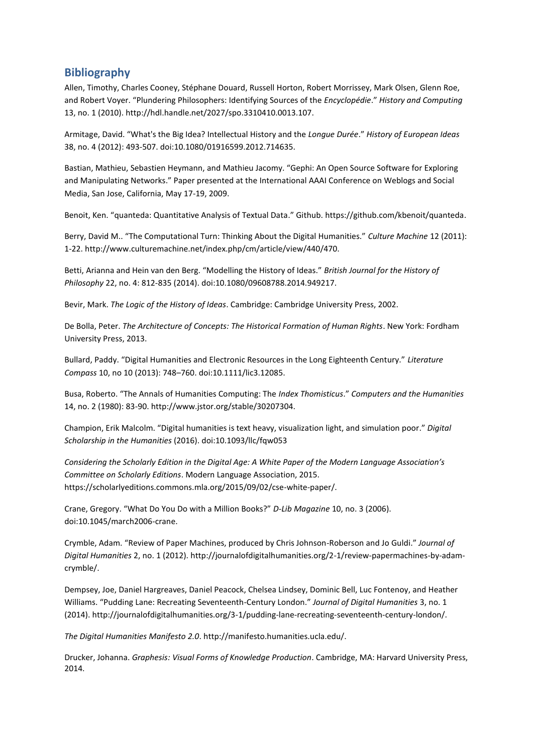#### **Bibliography**

Allen, Timothy, Charles Cooney, Stéphane Douard, Russell Horton, Robert Morrissey, Mark Olsen, Glenn Roe, and Robert Voyer. "Plundering Philosophers: Identifying Sources of the *Encyclopédie*." *History and Computing* 13, no. 1 (2010). http://hdl.handle.net/2027/spo.3310410.0013.107.

Armitage, David. "What's the Big Idea? Intellectual History and the *Longue Durée*." *History of European Ideas* 38, no. 4 (2012): 493-507. doi:10.1080/01916599.2012.714635.

Bastian, Mathieu, Sebastien Heymann, and Mathieu Jacomy. "Gephi: An Open Source Software for Exploring and Manipulating Networks." Paper presented at the International AAAI Conference on Weblogs and Social Media, San Jose, California, May 17-19, 2009.

Benoit, Ken. "quanteda: Quantitative Analysis of Textual Data." Github. https://github.com/kbenoit/quanteda.

Berry, David M.. "The Computational Turn: Thinking About the Digital Humanities." *Culture Machine* 12 (2011): 1-22. http://www.culturemachine.net/index.php/cm/article/view/440/470.

Betti, Arianna and Hein van den Berg. "Modelling the History of Ideas." *British Journal for the History of Philosophy* 22, no. 4: 812-835 (2014). doi:10.1080/09608788.2014.949217.

Bevir, Mark. *The Logic of the History of Ideas*. Cambridge: Cambridge University Press, 2002.

De Bolla, Peter. *The Architecture of Concepts: The Historical Formation of Human Rights*. New York: Fordham University Press, 2013.

Bullard, Paddy. "Digital Humanities and Electronic Resources in the Long Eighteenth Century." *Literature Compass* 10, no 10 (2013): 748–760. doi:10.1111/lic3.12085.

Busa, Roberto. "The Annals of Humanities Computing: The *Index Thomisticus*." *Computers and the Humanities* 14, no. 2 (1980): 83-90. http://www.jstor.org/stable/30207304.

Champion, Erik Malcolm. "Digital humanities is text heavy, visualization light, and simulation poor." *Digital Scholarship in the Humanities* (2016). doi:10.1093/llc/fqw053

*Considering the Scholarly Edition in the Digital Age: A White Paper of the Modern Language Association's Committee on Scholarly Editions*. Modern Language Association, 2015. https://scholarlyeditions.commons.mla.org/2015/09/02/cse-white-paper/.

Crane, Gregory. "What Do You Do with a Million Books?" *D-Lib Magazine* 10, no. 3 (2006). doi:10.1045/march2006-crane.

Crymble, Adam. "Review of Paper Machines, produced by Chris Johnson-Roberson and Jo Guldi." *Journal of Digital Humanities* 2, no. 1 (2012). http://journalofdigitalhumanities.org/2-1/review-papermachines-by-adamcrymble/.

Dempsey, Joe, Daniel Hargreaves, Daniel Peacock, Chelsea Lindsey, Dominic Bell, Luc Fontenoy, and Heather Williams. "Pudding Lane: Recreating Seventeenth-Century London." *Journal of Digital Humanities* 3, no. 1 (2014). http://journalofdigitalhumanities.org/3-1/pudding-lane-recreating-seventeenth-century-london/.

*The Digital Humanities Manifesto 2.0*. http://manifesto.humanities.ucla.edu/.

Drucker, Johanna. *Graphesis: Visual Forms of Knowledge Production*. Cambridge, MA: Harvard University Press, 2014.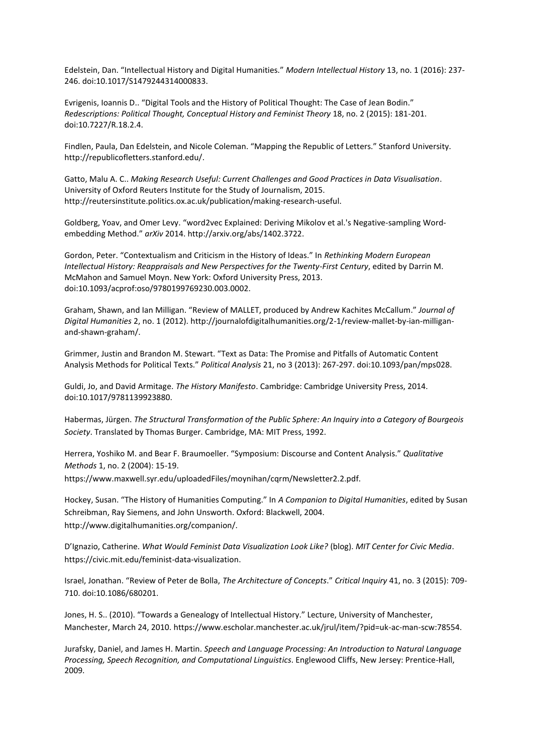Edelstein, Dan. "Intellectual History and Digital Humanities." *Modern Intellectual History* 13, no. 1 (2016): 237- 246. doi:10.1017/S1479244314000833.

Evrigenis, Ioannis D.. "Digital Tools and the History of Political Thought: The Case of Jean Bodin." *Redescriptions: Political Thought, Conceptual History and Feminist Theory* 18, no. 2 (2015): 181-201. doi:10.7227/R.18.2.4.

Findlen, Paula, Dan Edelstein, and Nicole Coleman. "Mapping the Republic of Letters." Stanford University. http://republicofletters.stanford.edu/.

Gatto, Malu A. C.. *Making Research Useful: Current Challenges and Good Practices in Data Visualisation*. University of Oxford Reuters Institute for the Study of Journalism, 2015. http://reutersinstitute.politics.ox.ac.uk/publication/making-research-useful.

Goldberg, Yoav, and Omer Levy. "word2vec Explained: Deriving Mikolov et al.'s Negative-sampling Wordembedding Method." *arXiv* 2014. http://arxiv.org/abs/1402.3722.

Gordon, Peter. "Contextualism and Criticism in the History of Ideas." In *Rethinking Modern European Intellectual History: Reappraisals and New Perspectives for the Twenty-First Century*, edited by Darrin M. McMahon and Samuel Moyn. New York: Oxford University Press, 2013. doi:10.1093/acprof:oso/9780199769230.003.0002.

Graham, Shawn, and Ian Milligan. "Review of MALLET, produced by Andrew Kachites McCallum." *Journal of Digital Humanities* 2, no. 1 (2012). http://journalofdigitalhumanities.org/2-1/review-mallet-by-ian-milliganand-shawn-graham/.

Grimmer, Justin and Brandon M. Stewart. "Text as Data: The Promise and Pitfalls of Automatic Content Analysis Methods for Political Texts." *Political Analysis* 21, no 3 (2013): 267-297. doi:10.1093/pan/mps028.

Guldi, Jo, and David Armitage. *The History Manifesto*. Cambridge: Cambridge University Press, 2014. doi:10.1017/9781139923880.

Habermas, Jürgen. *The Structural Transformation of the Public Sphere: An Inquiry into a Category of Bourgeois Society*. Translated by Thomas Burger. Cambridge, MA: MIT Press, 1992.

Herrera, Yoshiko M. and Bear F. Braumoeller. "Symposium: Discourse and Content Analysis." *Qualitative Methods* 1, no. 2 (2004): 15-19.

https://www.maxwell.syr.edu/uploadedFiles/moynihan/cqrm/Newsletter2.2.pdf.

Hockey, Susan. "The History of Humanities Computing." In *A Companion to Digital Humanities*, edited by Susan Schreibman, Ray Siemens, and John Unsworth. Oxford: Blackwell, 2004. http://www.digitalhumanities.org/companion/.

D'Ignazio, Catherine. *What Would Feminist Data Visualization Look Like?* (blog). *MIT Center for Civic Media*. https://civic.mit.edu/feminist-data-visualization.

Israel, Jonathan. "Review of Peter de Bolla, *The Architecture of Concepts*." *Critical Inquiry* 41, no. 3 (2015): 709- 710. doi:10.1086/680201.

Jones, H. S.. (2010). "Towards a Genealogy of Intellectual History." Lecture, University of Manchester, Manchester, March 24, 2010. https://www.escholar.manchester.ac.uk/jrul/item/?pid=uk-ac-man-scw:78554.

Jurafsky, Daniel, and James H. Martin. *Speech and Language Processing: An Introduction to Natural Language Processing, Speech Recognition, and Computational Linguistics*. Englewood Cliffs, New Jersey: Prentice-Hall, 2009.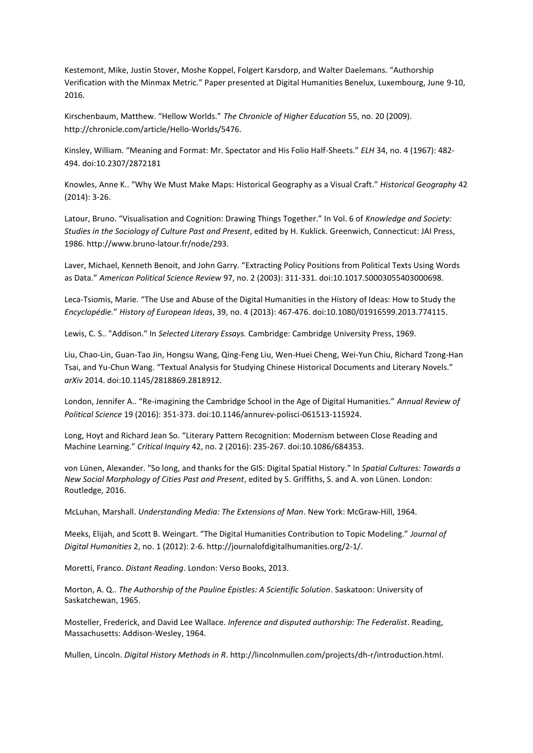Kestemont, Mike, Justin Stover, Moshe Koppel, Folgert Karsdorp, and Walter Daelemans. "Authorship Verification with the Minmax Metric." Paper presented at Digital Humanities Benelux, Luxembourg, June 9-10, 2016.

Kirschenbaum, Matthew. "Hellow Worlds." *The Chronicle of Higher Education* 55, no. 20 (2009). http://chronicle.com/article/Hello-Worlds/5476.

Kinsley, William. "Meaning and Format: Mr. Spectator and His Folio Half-Sheets." *ELH* 34, no. 4 (1967): 482- 494. doi:10.2307/2872181

Knowles, Anne K.. "Why We Must Make Maps: Historical Geography as a Visual Craft." *Historical Geography* 42 (2014): 3-26.

Latour, Bruno. "Visualisation and Cognition: Drawing Things Together." In Vol. 6 of *Knowledge and Society: Studies in the Sociology of Culture Past and Present*, edited by H. Kuklick. Greenwich, Connecticut: JAI Press, 1986. http://www.bruno-latour.fr/node/293.

Laver, Michael, Kenneth Benoit, and John Garry. "Extracting Policy Positions from Political Texts Using Words as Data." *American Political Science Review* 97, no. 2 (2003): 311-331. doi:10.1017.S0003055403000698.

Leca-Tsiomis, Marie. "The Use and Abuse of the Digital Humanities in the History of Ideas: How to Study the *Encyclopédie.*" *History of European Ideas*, 39, no. 4 (2013): 467-476. doi:10.1080/01916599.2013.774115.

Lewis, C. S.. "Addison." In *Selected Literary Essays.* Cambridge: Cambridge University Press, 1969.

Liu, Chao-Lin, Guan-Tao Jin, Hongsu Wang, Qing-Feng Liu, Wen-Huei Cheng, Wei-Yun Chiu, Richard Tzong-Han Tsai, and Yu-Chun Wang. "Textual Analysis for Studying Chinese Historical Documents and Literary Novels." *arXiv* 2014. doi:10.1145/2818869.2818912.

London, Jennifer A.. "Re-imagining the Cambridge School in the Age of Digital Humanities." *Annual Review of Political Science* 19 (2016): 351-373. doi:10.1146/annurev-polisci-061513-115924.

Long, Hoyt and Richard Jean So. "Literary Pattern Recognition: Modernism between Close Reading and Machine Learning." *Critical Inquiry* 42, no. 2 (2016): 235-267. doi:10.1086/684353.

von Lünen, Alexander. "So long, and thanks for the GIS: Digital Spatial History." In *Spatial Cultures: Towards a New Social Morphology of Cities Past and Present*, edited by S. Griffiths, S. and A. von Lünen. London: Routledge, 2016.

McLuhan, Marshall. *Understanding Media: The Extensions of Man*. New York: McGraw-Hill, 1964.

Meeks, Elijah, and Scott B. Weingart. "The Digital Humanities Contribution to Topic Modeling." *Journal of Digital Humanities* 2, no. 1 (2012): 2-6. http://journalofdigitalhumanities.org/2-1/.

Moretti, Franco. *Distant Reading*. London: Verso Books, 2013.

Morton, A. Q.. *The Authorship of the Pauline Epistles: A Scientific Solution*. Saskatoon: University of Saskatchewan, 1965.

Mosteller, Frederick, and David Lee Wallace. *Inference and disputed authorship: The Federalist*. Reading, Massachusetts: Addison-Wesley, 1964.

Mullen, Lincoln. *Digital History Methods in R*. http://lincolnmullen.com/projects/dh-r/introduction.html.